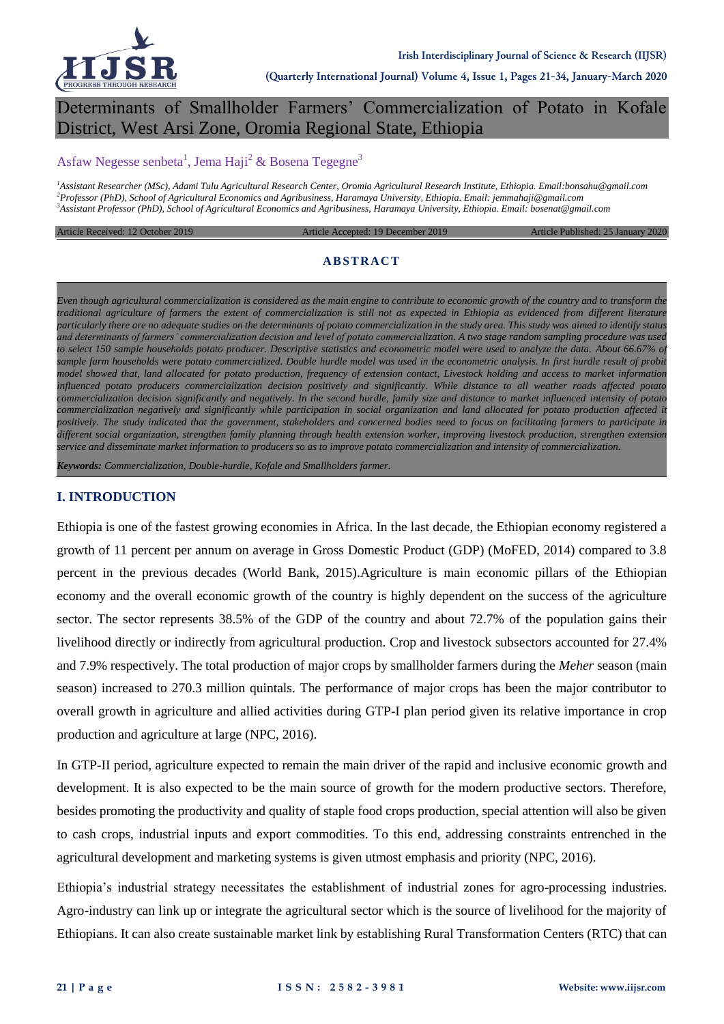

# Determinants of Smallholder Farmers' Commercialization of Potato in Kofale District, West Arsi Zone, Oromia Regional State, Ethiopia

### Asfaw Negesse senbeta<sup>1</sup>, Jema Haji<sup>2</sup> & Bosena Tegegne<sup>3</sup>

*<sup>1</sup>Assistant Researcher (MSc), Adami Tulu Agricultural Research Center, Oromia Agricultural Research Institute, Ethiopia. Email:bonsahu@gmail.com <sup>2</sup>Professor (PhD), School of Agricultural Economics and Agribusiness, Haramaya University, Ethiopia. Email: jemmahaji@gmail.com <sup>3</sup>Assistant Professor (PhD), School of Agricultural Economics and Agribusiness, Haramaya University, Ethiopia. Email: bosenat@gmail.com*

Article Received: 12 October 2019 Article Accepted: 19 December 2019 Article Published: 25 January 2020

#### **ABSTRACT**

*Even though agricultural commercialization is considered as the main engine to contribute to economic growth of the country and to transform the traditional agriculture of farmers the extent of commercialization is still not as expected in Ethiopia as evidenced from different literature particularly there are no adequate studies on the determinants of potato commercialization in the study area. This study was aimed to identify status and determinants of farmers' commercialization decision and level of potato commercialization. A two stage random sampling procedure was used to select 150 sample households potato producer. Descriptive statistics and econometric model were used to analyze the data. About 66.67% of sample farm households were potato commercialized. Double hurdle model was used in the econometric analysis. In first hurdle result of probit model showed that, land allocated for potato production, frequency of extension contact, Livestock holding and access to market information influenced potato producers commercialization decision positively and significantly. While distance to all weather roads affected potato commercialization decision significantly and negatively. In the second hurdle, family size and distance to market influenced intensity of potato commercialization negatively and significantly while participation in social organization and land allocated for potato production affected it positively. The study indicated that the government, stakeholders and concerned bodies need to focus on facilitating farmers to participate in different social organization, strengthen family planning through health extension worker, improving livestock production, strengthen extension service and disseminate market information to producers so as to improve potato commercialization and intensity of commercialization.*

*Keywords: Commercialization, Double-hurdle, Kofale and Smallholders farmer.*

#### **I. INTRODUCTION**

Ethiopia is one of the fastest growing economies in Africa. In the last decade, the Ethiopian economy registered a growth of 11 percent per annum on average in Gross Domestic Product (GDP) (MoFED, 2014) compared to 3.8 percent in the previous decades (World Bank, 2015).Agriculture is main economic pillars of the Ethiopian economy and the overall economic growth of the country is highly dependent on the success of the agriculture sector. The sector represents 38.5% of the GDP of the country and about 72.7% of the population gains their livelihood directly or indirectly from agricultural production. Crop and livestock subsectors accounted for 27.4% and 7.9% respectively. The total production of major crops by smallholder farmers during the *Meher* season (main season) increased to 270.3 million quintals. The performance of major crops has been the major contributor to overall growth in agriculture and allied activities during GTP-I plan period given its relative importance in crop production and agriculture at large (NPC, 2016).

In GTP-II period, agriculture expected to remain the main driver of the rapid and inclusive economic growth and development. It is also expected to be the main source of growth for the modern productive sectors. Therefore, besides promoting the productivity and quality of staple food crops production, special attention will also be given to cash crops, industrial inputs and export commodities. To this end, addressing constraints entrenched in the agricultural development and marketing systems is given utmost emphasis and priority (NPC, 2016).

Ethiopia's industrial strategy necessitates the establishment of industrial zones for agro-processing industries. Agro-industry can link up or integrate the agricultural sector which is the source of livelihood for the majority of Ethiopians. It can also create sustainable market link by establishing Rural Transformation Centers (RTC) that can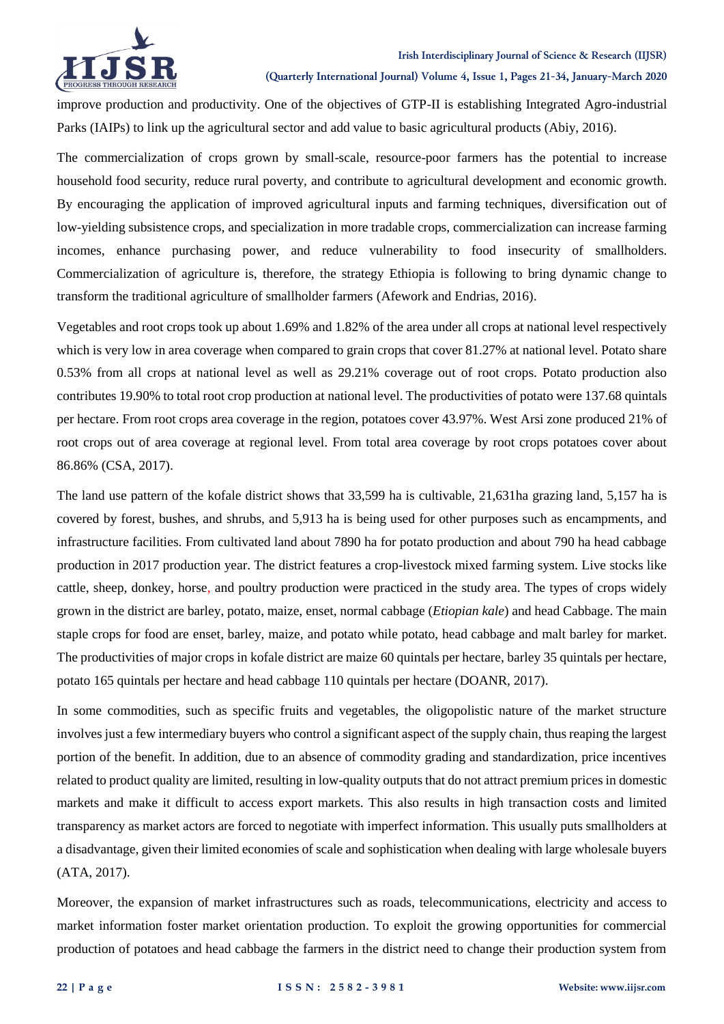

#### **Irish Interdisciplinary Journal of Science & Research (IIJSR)**

**(Quarterly International Journal) Volume 4, Issue 1, Pages 21-34, January-March 2020**

improve production and productivity. One of the objectives of GTP-II is establishing Integrated Agro-industrial Parks (IAIPs) to link up the agricultural sector and add value to basic agricultural products (Abiy, 2016).

The commercialization of crops grown by small-scale, resource-poor farmers has the potential to increase household food security, reduce rural poverty, and contribute to agricultural development and economic growth. By encouraging the application of improved agricultural inputs and farming techniques, diversification out of low-yielding subsistence crops, and specialization in more tradable crops, commercialization can increase farming incomes, enhance purchasing power, and reduce vulnerability to food insecurity of smallholders. Commercialization of agriculture is, therefore, the strategy Ethiopia is following to bring dynamic change to transform the traditional agriculture of smallholder farmers (Afework and Endrias, 2016).

Vegetables and root crops took up about 1.69% and 1.82% of the area under all crops at national level respectively which is very low in area coverage when compared to grain crops that cover 81.27% at national level. Potato share 0.53% from all crops at national level as well as 29.21% coverage out of root crops. Potato production also contributes 19.90% to total root crop production at national level. The productivities of potato were 137.68 quintals per hectare. From root crops area coverage in the region, potatoes cover 43.97%. West Arsi zone produced 21% of root crops out of area coverage at regional level. From total area coverage by root crops potatoes cover about 86.86% (CSA, 2017).

The land use pattern of the kofale district shows that 33,599 ha is cultivable, 21,631ha grazing land, 5,157 ha is covered by forest, bushes, and shrubs, and 5,913 ha is being used for other purposes such as encampments, and infrastructure facilities. From cultivated land about 7890 ha for potato production and about 790 ha head cabbage production in 2017 production year. The district features a crop-livestock mixed farming system. Live stocks like cattle, sheep, donkey, horse, and poultry production were practiced in the study area. The types of crops widely grown in the district are barley, potato, maize, enset, normal cabbage (*Etiopian kale*) and head Cabbage. The main staple crops for food are enset, barley, maize, and potato while potato, head cabbage and malt barley for market. The productivities of major crops in kofale district are maize 60 quintals per hectare, barley 35 quintals per hectare, potato 165 quintals per hectare and head cabbage 110 quintals per hectare (DOANR, 2017).

In some commodities, such as specific fruits and vegetables, the oligopolistic nature of the market structure involves just a few intermediary buyers who control a significant aspect of the supply chain, thus reaping the largest portion of the benefit. In addition, due to an absence of commodity grading and standardization, price incentives related to product quality are limited, resulting in low-quality outputs that do not attract premium prices in domestic markets and make it difficult to access export markets. This also results in high transaction costs and limited transparency as market actors are forced to negotiate with imperfect information. This usually puts smallholders at a disadvantage, given their limited economies of scale and sophistication when dealing with large wholesale buyers (ATA, 2017).

Moreover, the expansion of market infrastructures such as roads, telecommunications, electricity and access to market information foster market orientation production. To exploit the growing opportunities for commercial production of potatoes and head cabbage the farmers in the district need to change their production system from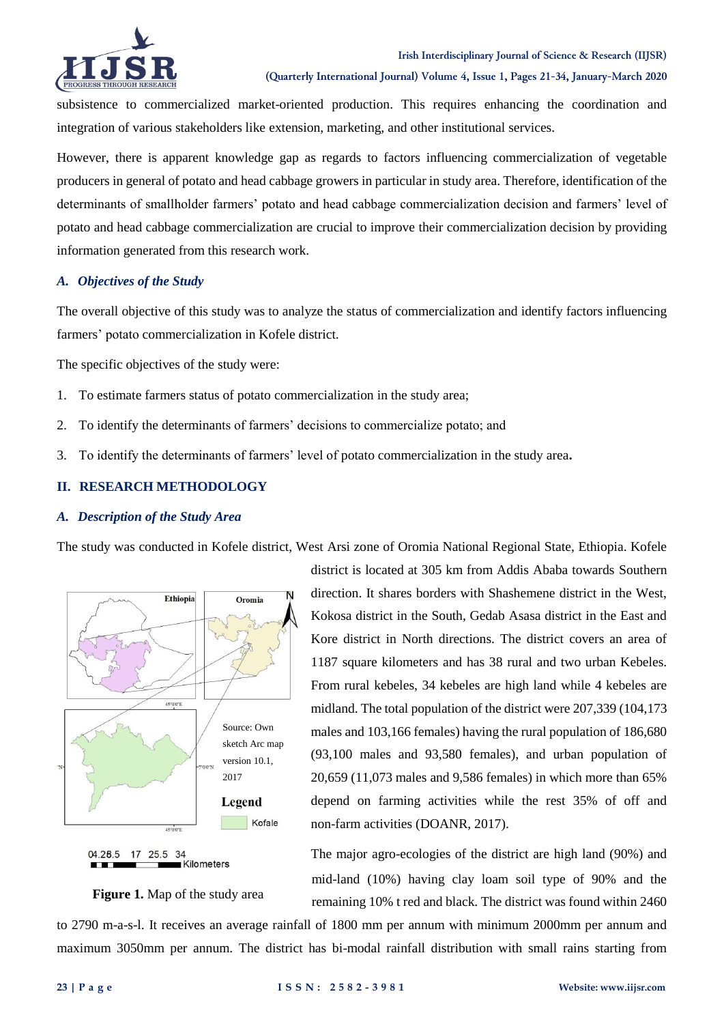

subsistence to commercialized market-oriented production. This requires enhancing the coordination and integration of various stakeholders like extension, marketing, and other institutional services.

However, there is apparent knowledge gap as regards to factors influencing commercialization of vegetable producers in general of potato and head cabbage growers in particular in study area. Therefore, identification of the determinants of smallholder farmers' potato and head cabbage commercialization decision and farmers' level of potato and head cabbage commercialization are crucial to improve their commercialization decision by providing information generated from this research work.

### *A. Objectives of the Study*

The overall objective of this study was to analyze the status of commercialization and identify factors influencing farmers' potato commercialization in Kofele district.

The specific objectives of the study were:

- 1. To estimate farmers status of potato commercialization in the study area;
- 2. To identify the determinants of farmers' decisions to commercialize potato; and
- 3. To identify the determinants of farmers' level of potato commercialization in the study area**.**

### **II. RESEARCH METHODOLOGY**

### *A. Description of the Study Area*

The study was conducted in Kofele district, West Arsi zone of Oromia National Regional State, Ethiopia. Kofele



district is located at 305 km from Addis Ababa towards Southern direction. It shares borders with Shashemene district in the West, Kokosa district in the South, Gedab Asasa district in the East and Kore district in North directions. The district covers an area of 1187 square kilometers and has 38 rural and two urban Kebeles. From rural kebeles, 34 kebeles are high land while 4 kebeles are midland. The total population of the district were 207,339 (104,173 males and 103,166 females) having the rural population of 186,680 (93,100 males and 93,580 females), and urban population of 20,659 (11,073 males and 9,586 females) in which more than 65% depend on farming activities while the rest 35% of off and non-farm activities (DOANR, 2017).

The major agro-ecologies of the district are high land (90%) and mid-land (10%) having clay loam soil type of 90% and the remaining 10% t red and black. The district was found within 2460

**Figure 1.** Map of the study area

Kilometers

to 2790 m-a-s-l. It receives an average rainfall of 1800 mm per annum with minimum 2000mm per annum and maximum 3050mm per annum. The district has bi-modal rainfall distribution with small rains starting from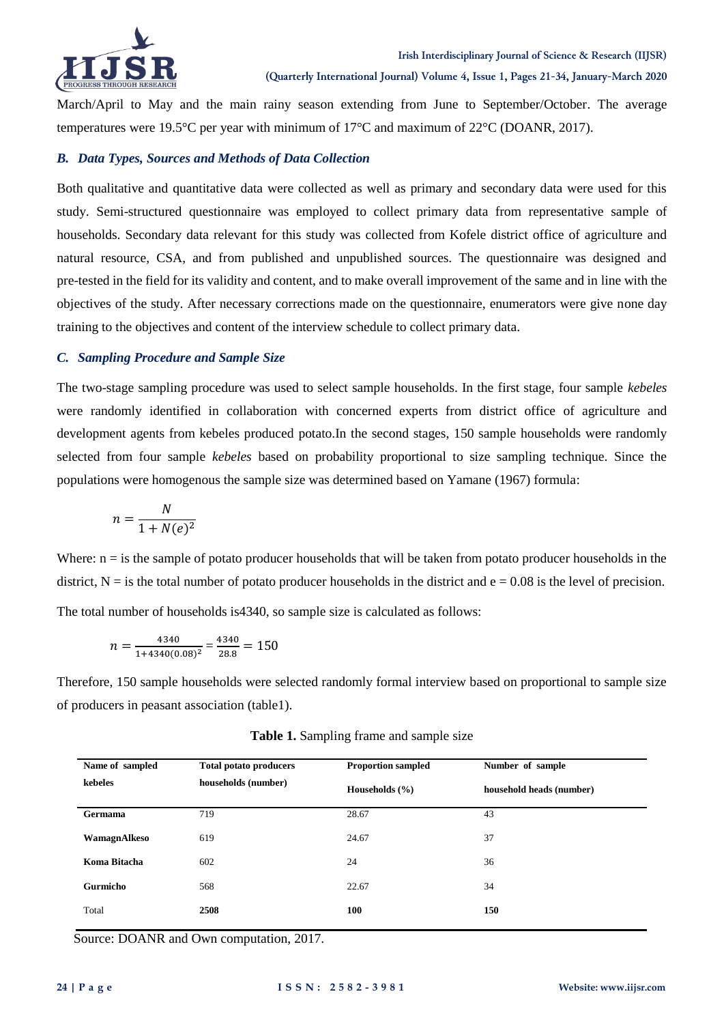

#### **Irish Interdisciplinary Journal of Science & Research (IIJSR)**

**(Quarterly International Journal) Volume 4, Issue 1, Pages 21-34, January-March 2020**

March/April to May and the main rainy season extending from June to September/October. The average temperatures were 19.5°C per year with minimum of 17°C and maximum of 22°C (DOANR, 2017).

#### *B. Data Types, Sources and Methods of Data Collection*

Both qualitative and quantitative data were collected as well as primary and secondary data were used for this study. Semi-structured questionnaire was employed to collect primary data from representative sample of households. Secondary data relevant for this study was collected from Kofele district office of agriculture and natural resource, CSA, and from published and unpublished sources. The questionnaire was designed and pre-tested in the field for its validity and content, and to make overall improvement of the same and in line with the objectives of the study. After necessary corrections made on the questionnaire, enumerators were give none day training to the objectives and content of the interview schedule to collect primary data.

#### *C. Sampling Procedure and Sample Size*

The two-stage sampling procedure was used to select sample households. In the first stage, four sample *kebeles* were randomly identified in collaboration with concerned experts from district office of agriculture and development agents from kebeles produced potato.In the second stages, 150 sample households were randomly selected from four sample *kebeles* based on probability proportional to size sampling technique. Since the populations were homogenous the sample size was determined based on Yamane (1967) formula:

$$
n = \frac{N}{1 + N(e)^2}
$$

Where:  $n =$  is the sample of potato producer households that will be taken from potato producer households in the district,  $N =$  is the total number of potato producer households in the district and  $e = 0.08$  is the level of precision. The total number of households is4340, so sample size is calculated as follows:

$$
n = \frac{4340}{1 + 4340(0.08)^2} = \frac{4340}{28.8} = 150
$$

Therefore, 150 sample households were selected randomly formal interview based on proportional to sample size of producers in peasant association (table1).

| Name of sampled | <b>Total potato producers</b> | <b>Proportion sampled</b> | Number of sample         |
|-----------------|-------------------------------|---------------------------|--------------------------|
| kebeles         | households (number)           | Households $(\% )$        | household heads (number) |
| <b>Germama</b>  | 719                           | 28.67                     | 43                       |
| WamagnAlkeso    | 619                           | 24.67                     | 37                       |
| Koma Bitacha    | 602                           | 24                        | 36                       |
| Gurmicho        | 568                           | 22.67                     | 34                       |
| Total           | 2508                          | 100                       | 150                      |

**Table 1.** Sampling frame and sample size

Source: DOANR and Own computation, 2017.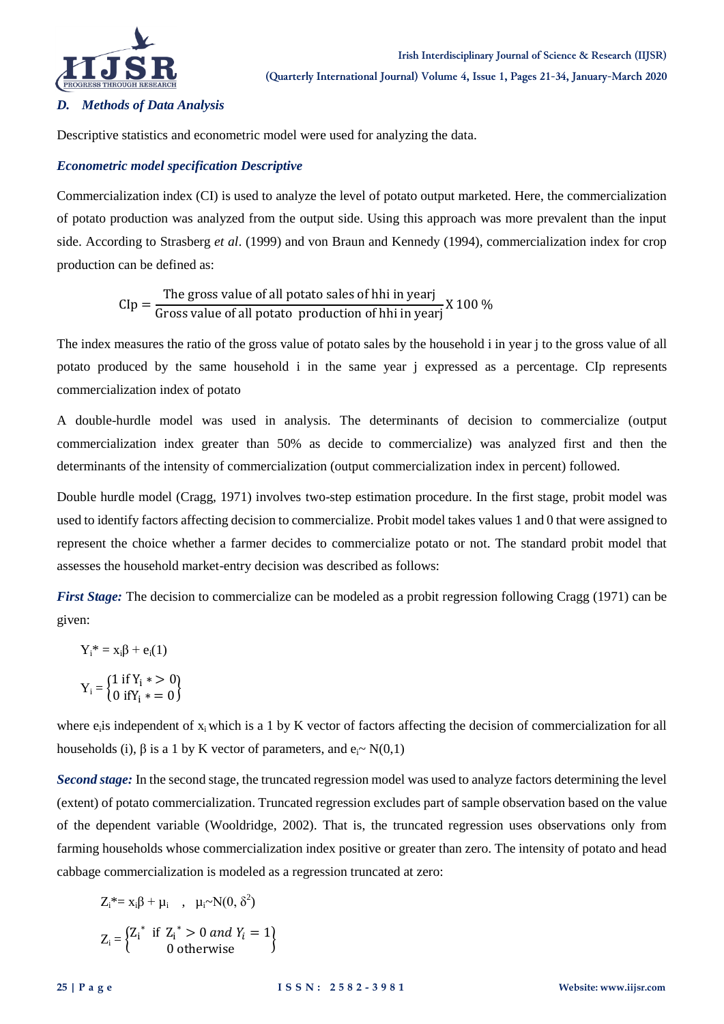

### *D. Methods of Data Analysis*

Descriptive statistics and econometric model were used for analyzing the data.

### *Econometric model specification Descriptive*

Commercialization index (CI) is used to analyze the level of potato output marketed. Here, the commercialization of potato production was analyzed from the output side. Using this approach was more prevalent than the input side. According to Strasberg *et al*. (1999) and von Braun and Kennedy (1994), commercialization index for crop production can be defined as:

> $\mathsf{C}$ T Gross value of all potato production of hhi in year's

The index measures the ratio of the gross value of potato sales by the household i in year j to the gross value of all potato produced by the same household i in the same year j expressed as a percentage. CIp represents commercialization index of potato

A double-hurdle model was used in analysis. The determinants of decision to commercialize (output commercialization index greater than 50% as decide to commercialize) was analyzed first and then the determinants of the intensity of commercialization (output commercialization index in percent) followed.

Double hurdle model (Cragg, 1971) involves two-step estimation procedure. In the first stage, probit model was used to identify factors affecting decision to commercialize. Probit model takes values 1 and 0 that were assigned to represent the choice whether a farmer decides to commercialize potato or not. The standard probit model that assesses the household market-entry decision was described as follows:

*First Stage:* The decision to commercialize can be modeled as a probit regression following Cragg (1971) can be given:

$$
Y_i^* = x_i \beta + e_i(1)
$$
  

$$
Y_i = \begin{cases} 1 \text{ if } Y_i * > 0 \\ 0 \text{ if } Y_i * = 0 \end{cases}
$$

where e<sub>i</sub>is independent of x<sub>i</sub> which is a 1 by K vector of factors affecting the decision of commercialization for all households (i),  $\beta$  is a 1 by K vector of parameters, and  $e_i \sim N(0,1)$ 

*Second stage:* In the second stage, the truncated regression model was used to analyze factors determining the level (extent) of potato commercialization. Truncated regression excludes part of sample observation based on the value of the dependent variable (Wooldridge, 2002). That is, the truncated regression uses observations only from farming households whose commercialization index positive or greater than zero. The intensity of potato and head cabbage commercialization is modeled as a regression truncated at zero:

$$
Z_i^* = x_i \beta + \mu_i \quad , \quad \mu_i \sim N(0, \delta^2)
$$

$$
Z_i = \begin{cases} Z_i^* & \text{if } Z_i^* > 0 \text{ and } Y_i = 1\\ 0 & \text{otherwise} \end{cases}
$$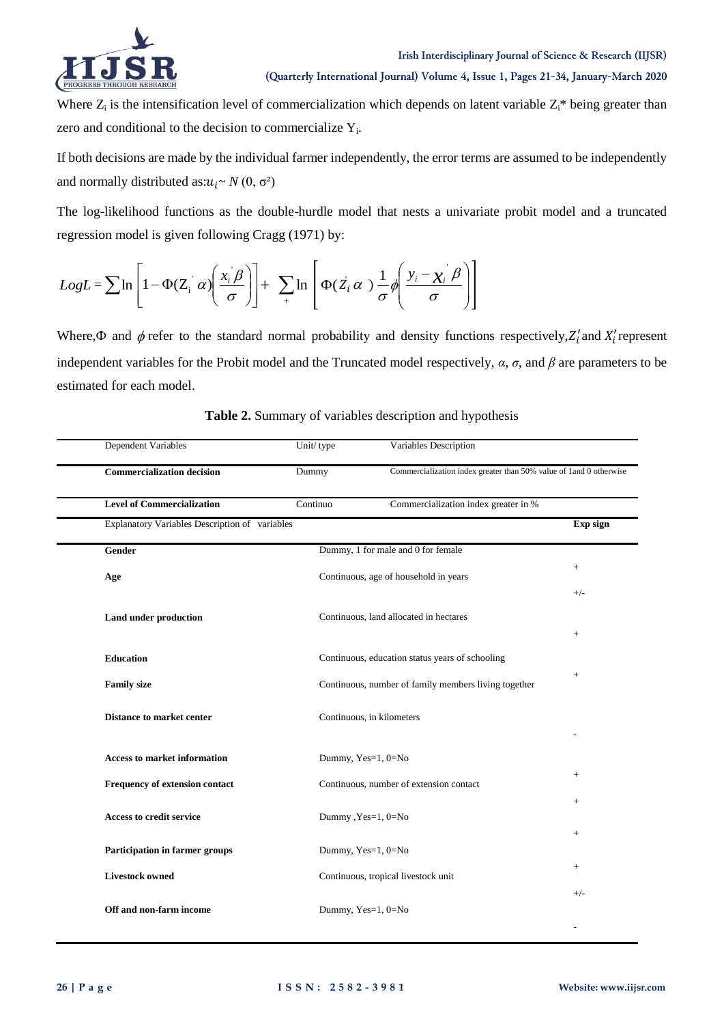

Where  $Z_i$  is the intensification level of commercialization which depends on latent variable  $Z_i^*$  being greater than zero and conditional to the decision to commercialize  $Y_i$ .

If both decisions are made by the individual farmer independently, the error terms are assumed to be independently and normally distributed as: $u_i \sim N(0, \sigma^2)$ 

The log-likelihood functions as the double-hurdle model that nests a univariate probit model and a truncated regression model is given following Cragg (1971) by:

$$
LogL = \sum \ln \left[ 1 - \Phi(Z_i \alpha) \left( \frac{x_i \beta}{\sigma} \right) \right] + \sum_i \ln \left[ \Phi(Z_i \alpha) \frac{1}{\sigma} \phi \left( \frac{y_i - x_i \beta}{\sigma} \right) \right]
$$

Where,  $\Phi$  and  $\phi$  refer to the standard normal probability and density functions respectively,  $Z'_i$  and  $X'_i$  represent independent variables for the Probit model and the Truncated model respectively, *α*, *σ*, and *β* are parameters to be estimated for each model.

| Dependent Variables                            | Unit/type | Variables Description                                               |                    |
|------------------------------------------------|-----------|---------------------------------------------------------------------|--------------------|
| <b>Commercialization decision</b>              | Dummy     | Commercialization index greater than 50% value of 1 and 0 otherwise |                    |
| <b>Level of Commercialization</b>              | Continuo  | Commercialization index greater in %                                |                    |
| Explanatory Variables Description of variables |           |                                                                     | Exp sign           |
| <b>Gender</b>                                  |           | Dummy, 1 for male and 0 for female                                  |                    |
| Age                                            |           | Continuous, age of household in years                               | $\! +$             |
|                                                |           |                                                                     | $+/-$              |
| Land under production                          |           | Continuous, land allocated in hectares                              |                    |
|                                                |           |                                                                     | $\! +$             |
| <b>Education</b>                               |           | Continuous, education status years of schooling                     |                    |
| <b>Family size</b>                             |           | Continuous, number of family members living together                |                    |
| <b>Distance to market center</b>               |           | Continuous, in kilometers                                           |                    |
|                                                |           |                                                                     |                    |
| <b>Access to market information</b>            |           | Dummy, Yes=1, 0=No                                                  |                    |
| Frequency of extension contact                 |           | Continuous, number of extension contact                             | $+$                |
| <b>Access to credit service</b>                |           | Dummy, Yes=1, 0=No                                                  | $\hspace{0.1mm} +$ |
|                                                |           |                                                                     | $+$                |
| Participation in farmer groups                 |           | Dummy, Yes=1, 0=No                                                  |                    |
| <b>Livestock owned</b>                         |           | Continuous, tropical livestock unit                                 | $^{+}$             |
|                                                |           |                                                                     | $+/-$              |
| Off and non-farm income                        |           | Dummy, Yes=1, 0=No                                                  |                    |
|                                                |           |                                                                     |                    |

**Table 2.** Summary of variables description and hypothesis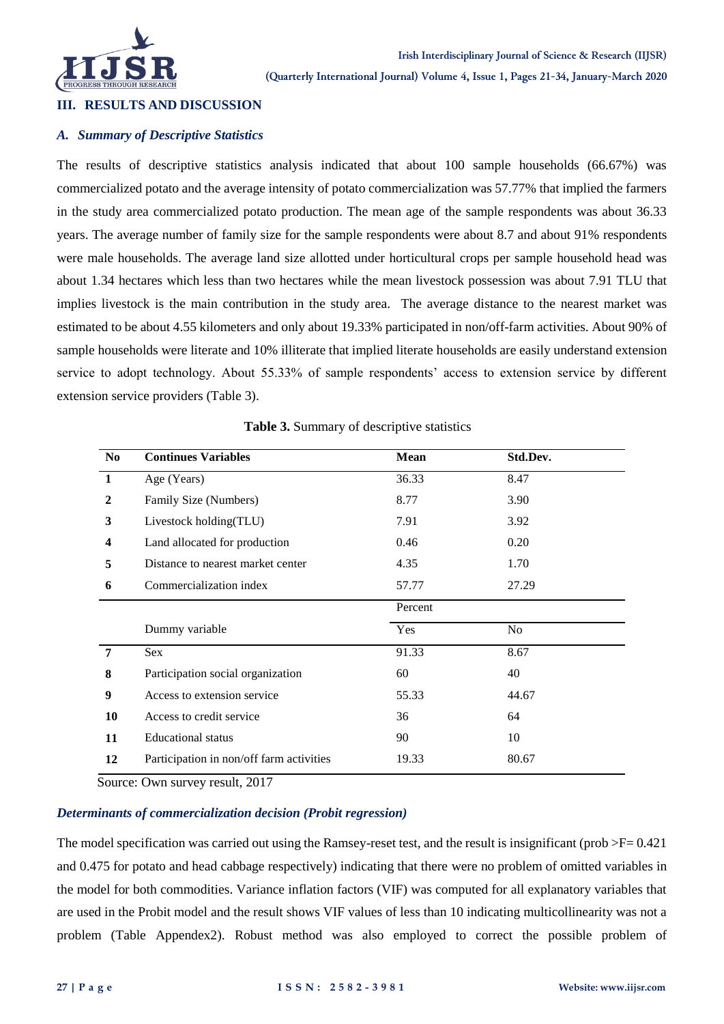

#### **III. RESULTS AND DISCUSSION**

#### *A. Summary of Descriptive Statistics*

The results of descriptive statistics analysis indicated that about 100 sample households (66.67%) was commercialized potato and the average intensity of potato commercialization was 57.77% that implied the farmers in the study area commercialized potato production. The mean age of the sample respondents was about 36.33 years. The average number of family size for the sample respondents were about 8.7 and about 91% respondents were male households. The average land size allotted under horticultural crops per sample household head was about 1.34 hectares which less than two hectares while the mean livestock possession was about 7.91 TLU that implies livestock is the main contribution in the study area. The average distance to the nearest market was estimated to be about 4.55 kilometers and only about 19.33% participated in non/off-farm activities. About 90% of sample households were literate and 10% illiterate that implied literate households are easily understand extension service to adopt technology. About 55.33% of sample respondents' access to extension service by different extension service providers (Table 3).

| N <sub>0</sub>   | <b>Continues Variables</b>               | <b>Mean</b> | Std.Dev.       |  |
|------------------|------------------------------------------|-------------|----------------|--|
| 1                | Age (Years)                              | 36.33       | 8.47           |  |
| $\mathbf{2}$     | Family Size (Numbers)                    | 8.77        | 3.90           |  |
| 3                | Livestock holding(TLU)                   | 7.91        | 3.92           |  |
| $\boldsymbol{4}$ | Land allocated for production            | 0.46        | 0.20           |  |
| 5                | Distance to nearest market center        | 4.35        | 1.70           |  |
| 6                | Commercialization index                  | 57.77       | 27.29          |  |
|                  |                                          | Percent     |                |  |
|                  | Dummy variable                           | Yes         | N <sub>o</sub> |  |
| 7                | Sex.                                     | 91.33       | 8.67           |  |
| 8                | Participation social organization        | 60          | 40             |  |
| 9                | Access to extension service              | 55.33       | 44.67          |  |
| 10               | Access to credit service                 | 36          | 64             |  |
| 11               | <b>Educational</b> status                | 90          | 10             |  |
| 12               | Participation in non/off farm activities | 19.33       | 80.67          |  |

**Table 3.** Summary of descriptive statistics

Source: Own survey result, 2017

#### *Determinants of commercialization decision (Probit regression)*

The model specification was carried out using the Ramsey-reset test, and the result is insignificant (prob  $\geq F = 0.421$ ) and 0.475 for potato and head cabbage respectively) indicating that there were no problem of omitted variables in the model for both commodities. Variance inflation factors (VIF) was computed for all explanatory variables that are used in the Probit model and the result shows VIF values of less than 10 indicating multicollinearity was not a problem (Table Appendex2). Robust method was also employed to correct the possible problem of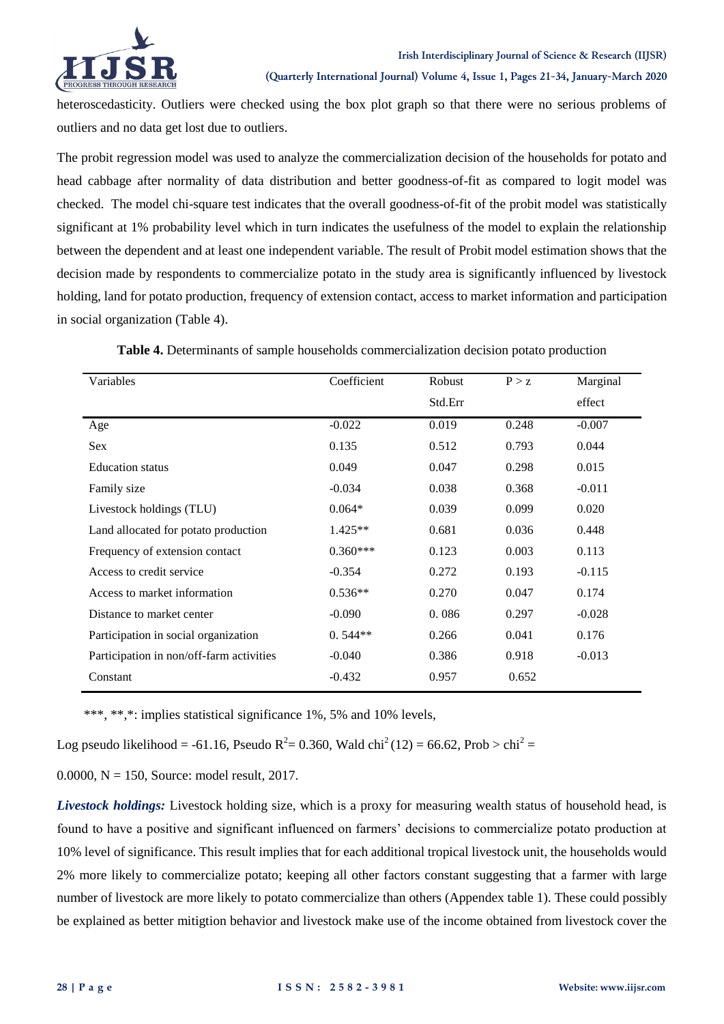

heteroscedasticity. Outliers were checked using the box plot graph so that there were no serious problems of outliers and no data get lost due to outliers.

The probit regression model was used to analyze the commercialization decision of the households for potato and head cabbage after normality of data distribution and better goodness-of-fit as compared to logit model was checked. The model chi-square test indicates that the overall goodness-of-fit of the probit model was statistically significant at 1% probability level which in turn indicates the usefulness of the model to explain the relationship between the dependent and at least one independent variable. The result of Probit model estimation shows that the decision made by respondents to commercialize potato in the study area is significantly influenced by livestock holding, land for potato production, frequency of extension contact, access to market information and participation in social organization (Table 4).

| Variables                                | Coefficient | Robust  | P > z | Marginal |
|------------------------------------------|-------------|---------|-------|----------|
|                                          |             | Std.Err |       | effect   |
| Age                                      | $-0.022$    | 0.019   | 0.248 | $-0.007$ |
| Sex                                      | 0.135       | 0.512   | 0.793 | 0.044    |
| <b>Education</b> status                  | 0.049       | 0.047   | 0.298 | 0.015    |
| Family size                              | $-0.034$    | 0.038   | 0.368 | $-0.011$ |
| Livestock holdings (TLU)                 | $0.064*$    | 0.039   | 0.099 | 0.020    |
| Land allocated for potato production     | $1.425**$   | 0.681   | 0.036 | 0.448    |
| Frequency of extension contact           | $0.360***$  | 0.123   | 0.003 | 0.113    |
| Access to credit service                 | $-0.354$    | 0.272   | 0.193 | $-0.115$ |
| Access to market information             | $0.536**$   | 0.270   | 0.047 | 0.174    |
| Distance to market center                | $-0.090$    | 0.086   | 0.297 | $-0.028$ |
| Participation in social organization     | $0.544**$   | 0.266   | 0.041 | 0.176    |
| Participation in non/off-farm activities | $-0.040$    | 0.386   | 0.918 | $-0.013$ |
| Constant                                 | $-0.432$    | 0.957   | 0.652 |          |

**Table 4.** Determinants of sample households commercialization decision potato production

\*\*\*, \*\*,\*: implies statistical significance 1%, 5% and 10% levels,

Log pseudo likelihood = -61.16, Pseudo  $R^2 = 0.360$ , Wald chi<sup>2</sup> (12) = 66.62, Prob > chi<sup>2</sup> =

0.0000,  $N = 150$ , Source: model result, 2017.

*Livestock holdings:* Livestock holding size, which is a proxy for measuring wealth status of household head, is found to have a positive and significant influenced on farmers' decisions to commercialize potato production at 10% level of significance. This result implies that for each additional tropical livestock unit, the households would 2% more likely to commercialize potato; keeping all other factors constant suggesting that a farmer with large number of livestock are more likely to potato commercialize than others (Appendex table 1). These could possibly be explained as better mitigtion behavior and livestock make use of the income obtained from livestock cover the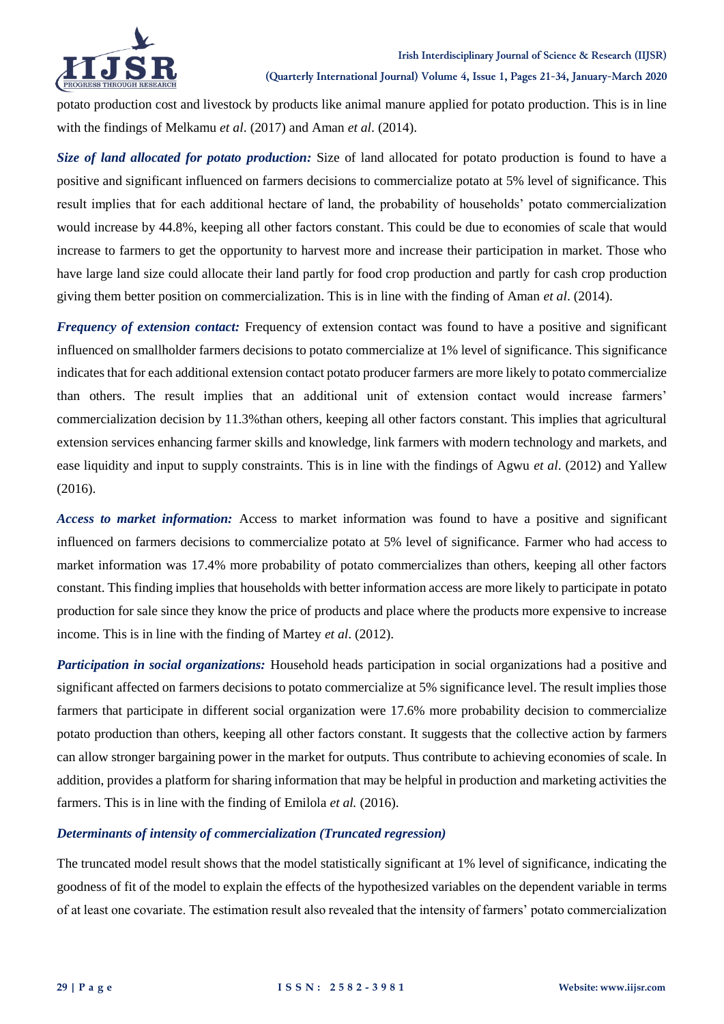

potato production cost and livestock by products like animal manure applied for potato production. This is in line with the findings of Melkamu *et al*. (2017) and Aman *et al*. (2014).

*Size of land allocated for potato production:* Size of land allocated for potato production is found to have a positive and significant influenced on farmers decisions to commercialize potato at 5% level of significance. This result implies that for each additional hectare of land, the probability of households' potato commercialization would increase by 44.8%, keeping all other factors constant. This could be due to economies of scale that would increase to farmers to get the opportunity to harvest more and increase their participation in market. Those who have large land size could allocate their land partly for food crop production and partly for cash crop production giving them better position on commercialization. This is in line with the finding of Aman *et al*. (2014).

*Frequency of extension contact:* Frequency of extension contact was found to have a positive and significant influenced on smallholder farmers decisions to potato commercialize at 1% level of significance. This significance indicates that for each additional extension contact potato producer farmers are more likely to potato commercialize than others. The result implies that an additional unit of extension contact would increase farmers' commercialization decision by 11.3%than others, keeping all other factors constant. This implies that agricultural extension services enhancing farmer skills and knowledge, link farmers with modern technology and markets, and ease liquidity and input to supply constraints. This is in line with the findings of Agwu *et al*. (2012) and Yallew (2016).

*Access to market information:* Access to market information was found to have a positive and significant influenced on farmers decisions to commercialize potato at 5% level of significance. Farmer who had access to market information was 17.4% more probability of potato commercializes than others, keeping all other factors constant. This finding implies that households with better information access are more likely to participate in potato production for sale since they know the price of products and place where the products more expensive to increase income. This is in line with the finding of Martey *et al*. (2012).

*Participation in social organizations:* Household heads participation in social organizations had a positive and significant affected on farmers decisions to potato commercialize at 5% significance level. The result implies those farmers that participate in different social organization were 17.6% more probability decision to commercialize potato production than others, keeping all other factors constant. It suggests that the collective action by farmers can allow stronger bargaining power in the market for outputs. Thus contribute to achieving economies of scale. In addition, provides a platform for sharing information that may be helpful in production and marketing activities the farmers. This is in line with the finding of Emilola *et al.* (2016).

### *Determinants of intensity of commercialization (Truncated regression)*

The truncated model result shows that the model statistically significant at 1% level of significance, indicating the goodness of fit of the model to explain the effects of the hypothesized variables on the dependent variable in terms of at least one covariate. The estimation result also revealed that the intensity of farmers' potato commercialization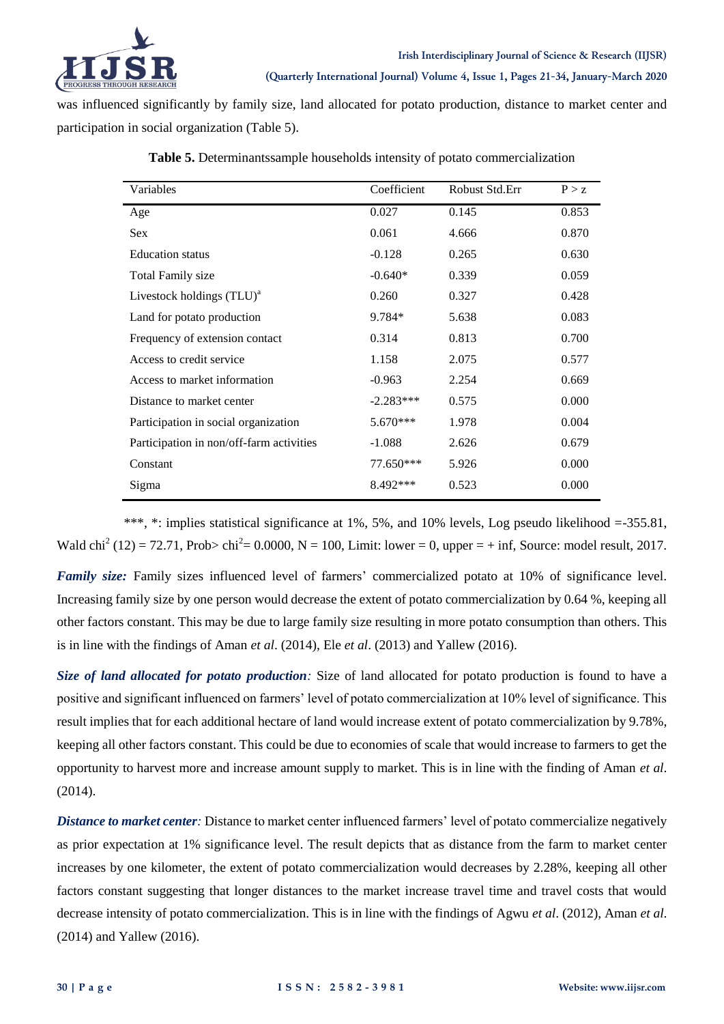

was influenced significantly by family size, land allocated for potato production, distance to market center and participation in social organization (Table 5).

| Variables                                | Coefficient | Robust Std.Err | P > z |
|------------------------------------------|-------------|----------------|-------|
|                                          |             |                |       |
| Age                                      | 0.027       | 0.145          | 0.853 |
| <b>Sex</b>                               | 0.061       | 4.666          | 0.870 |
| <b>Education</b> status                  | $-0.128$    | 0.265          | 0.630 |
| <b>Total Family size</b>                 | $-0.640*$   | 0.339          | 0.059 |
| Livestock holdings $(TLU)^a$             | 0.260       | 0.327          | 0.428 |
| Land for potato production               | $9.784*$    | 5.638          | 0.083 |
| Frequency of extension contact           | 0.314       | 0.813          | 0.700 |
| Access to credit service                 | 1.158       | 2.075          | 0.577 |
| Access to market information             | $-0.963$    | 2.254          | 0.669 |
| Distance to market center                | $-2.283***$ | 0.575          | 0.000 |
| Participation in social organization     | $5.670***$  | 1.978          | 0.004 |
| Participation in non/off-farm activities | $-1.088$    | 2.626          | 0.679 |
| Constant                                 | 77.650***   | 5.926          | 0.000 |
| Sigma                                    | 8.492***    | 0.523          | 0.000 |

**Table 5.** Determinantssample households intensity of potato commercialization

\*\*\*, \*: implies statistical significance at 1%, 5%, and 10% levels, Log pseudo likelihood =-355.81, Wald chi<sup>2</sup> (12) = 72.71, Prob> chi<sup>2</sup> = 0.0000, N = 100, Limit: lower = 0, upper = + inf, Source: model result, 2017.

*Family size:* Family sizes influenced level of farmers' commercialized potato at 10% of significance level. Increasing family size by one person would decrease the extent of potato commercialization by 0.64 %, keeping all other factors constant. This may be due to large family size resulting in more potato consumption than others. This is in line with the findings of Aman *et al*. (2014), Ele *et al*. (2013) and Yallew (2016).

*Size of land allocated for potato production:* Size of land allocated for potato production is found to have a positive and significant influenced on farmers' level of potato commercialization at 10% level of significance. This result implies that for each additional hectare of land would increase extent of potato commercialization by 9.78%, keeping all other factors constant. This could be due to economies of scale that would increase to farmers to get the opportunity to harvest more and increase amount supply to market. This is in line with the finding of Aman *et al*. (2014).

*Distance to market center:* Distance to market center influenced farmers' level of potato commercialize negatively as prior expectation at 1% significance level. The result depicts that as distance from the farm to market center increases by one kilometer, the extent of potato commercialization would decreases by 2.28%, keeping all other factors constant suggesting that longer distances to the market increase travel time and travel costs that would decrease intensity of potato commercialization. This is in line with the findings of Agwu *et al*. (2012), Aman *et al*. (2014) and Yallew (2016).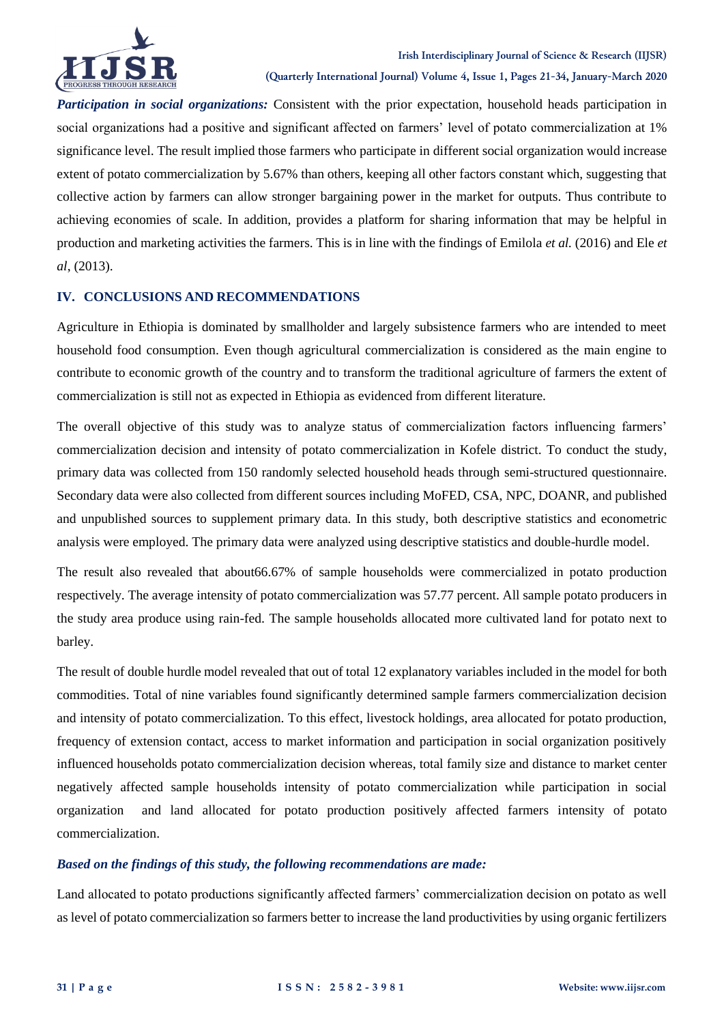

*Participation in social organizations:* Consistent with the prior expectation, household heads participation in social organizations had a positive and significant affected on farmers' level of potato commercialization at 1% significance level. The result implied those farmers who participate in different social organization would increase extent of potato commercialization by 5.67% than others, keeping all other factors constant which, suggesting that collective action by farmers can allow stronger bargaining power in the market for outputs. Thus contribute to achieving economies of scale. In addition, provides a platform for sharing information that may be helpful in production and marketing activities the farmers. This is in line with the findings of Emilola *et al.* (2016) and Ele *et al*, (2013).

### **IV. CONCLUSIONS AND RECOMMENDATIONS**

Agriculture in Ethiopia is dominated by smallholder and largely subsistence farmers who are intended to meet household food consumption. Even though agricultural commercialization is considered as the main engine to contribute to economic growth of the country and to transform the traditional agriculture of farmers the extent of commercialization is still not as expected in Ethiopia as evidenced from different literature.

The overall objective of this study was to analyze status of commercialization factors influencing farmers' commercialization decision and intensity of potato commercialization in Kofele district. To conduct the study, primary data was collected from 150 randomly selected household heads through semi-structured questionnaire. Secondary data were also collected from different sources including MoFED, CSA, NPC, DOANR, and published and unpublished sources to supplement primary data. In this study, both descriptive statistics and econometric analysis were employed. The primary data were analyzed using descriptive statistics and double-hurdle model.

The result also revealed that about66.67% of sample households were commercialized in potato production respectively. The average intensity of potato commercialization was 57.77 percent. All sample potato producers in the study area produce using rain-fed. The sample households allocated more cultivated land for potato next to barley.

The result of double hurdle model revealed that out of total 12 explanatory variables included in the model for both commodities. Total of nine variables found significantly determined sample farmers commercialization decision and intensity of potato commercialization. To this effect, livestock holdings, area allocated for potato production, frequency of extension contact, access to market information and participation in social organization positively influenced households potato commercialization decision whereas, total family size and distance to market center negatively affected sample households intensity of potato commercialization while participation in social organization and land allocated for potato production positively affected farmers intensity of potato commercialization.

#### *Based on the findings of this study, the following recommendations are made:*

Land allocated to potato productions significantly affected farmers' commercialization decision on potato as well as level of potato commercialization so farmers better to increase the land productivities by using organic fertilizers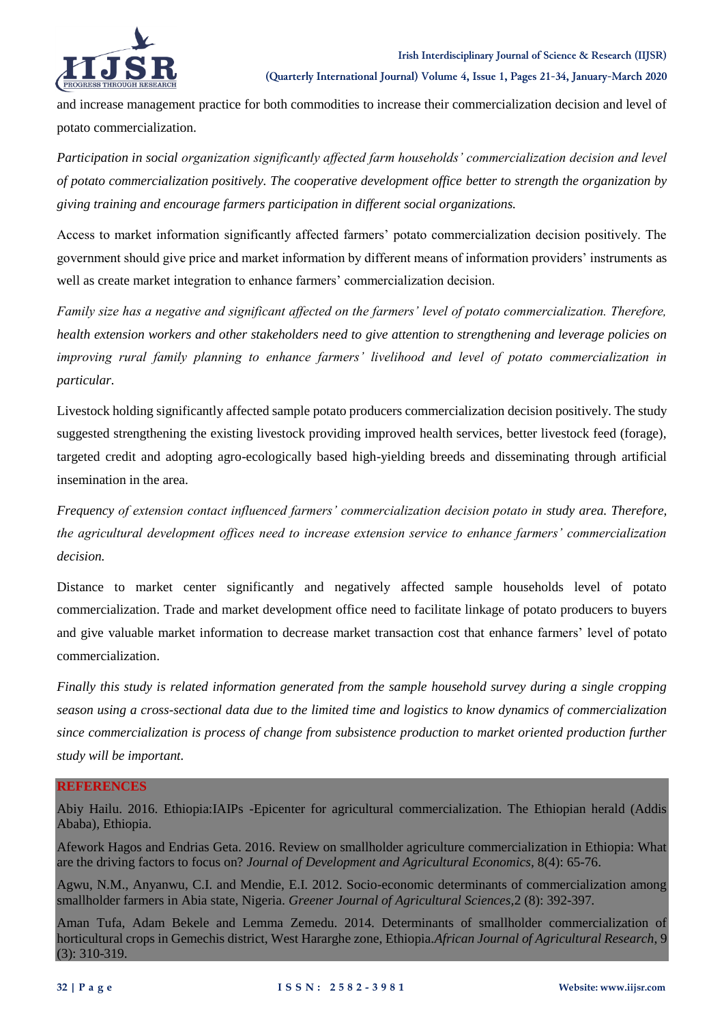#### **Irish Interdisciplinary Journal of Science & Research (IIJSR)**



**(Quarterly International Journal) Volume 4, Issue 1, Pages 21-34, January-March 2020**

and increase management practice for both commodities to increase their commercialization decision and level of potato commercialization.

*Participation in social organization significantly affected farm households' commercialization decision and level of potato commercialization positively. The cooperative development office better to strength the organization by giving training and encourage farmers participation in different social organizations.*

Access to market information significantly affected farmers' potato commercialization decision positively. The government should give price and market information by different means of information providers' instruments as well as create market integration to enhance farmers' commercialization decision.

*Family size has a negative and significant affected on the farmers' level of potato commercialization. Therefore, health extension workers and other stakeholders need to give attention to strengthening and leverage policies on improving rural family planning to enhance farmers' livelihood and level of potato commercialization in particular.*

Livestock holding significantly affected sample potato producers commercialization decision positively. The study suggested strengthening the existing livestock providing improved health services, better livestock feed (forage), targeted credit and adopting agro-ecologically based high-yielding breeds and disseminating through artificial insemination in the area.

*Frequency of extension contact influenced farmers' commercialization decision potato in study area. Therefore, the agricultural development offices need to increase extension service to enhance farmers' commercialization decision.*

Distance to market center significantly and negatively affected sample households level of potato commercialization. Trade and market development office need to facilitate linkage of potato producers to buyers and give valuable market information to decrease market transaction cost that enhance farmers' level of potato commercialization.

*Finally this study is related information generated from the sample household survey during a single cropping season using a cross-sectional data due to the limited time and logistics to know dynamics of commercialization since commercialization is process of change from subsistence production to market oriented production further study will be important.*

#### **REFERENCES**

Abiy Hailu. 2016. Ethiopia:IAIPs -Epicenter for agricultural commercialization. The Ethiopian herald (Addis Ababa), Ethiopia.

Afework Hagos and Endrias Geta. 2016. Review on smallholder agriculture commercialization in Ethiopia: What are the driving factors to focus on? *Journal of Development and Agricultural Economics,* 8(4): 65-76.

Agwu, N.M., Anyanwu, C.I. and Mendie, E.I. 2012. Socio-economic determinants of commercialization among smallholder farmers in Abia state, Nigeria. *Greener Journal of Agricultural Sciences,*2 (8): 392-397*.*

Aman Tufa, Adam Bekele and Lemma Zemedu. 2014. Determinants of smallholder commercialization of horticultural crops in Gemechis district, West Hararghe zone, Ethiopia.*African Journal of Agricultural Research*, 9 (3): 310-319.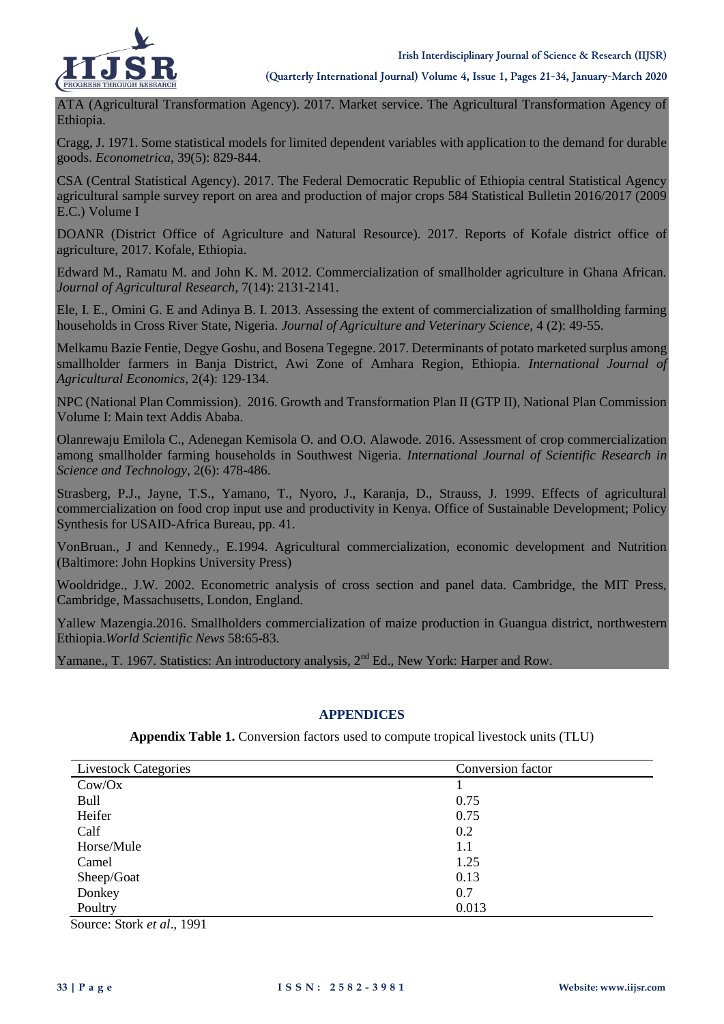

ATA (Agricultural Transformation Agency). 2017. Market service. The Agricultural Transformation Agency of Ethiopia.

Cragg, J. 1971. Some statistical models for limited dependent variables with application to the demand for durable goods. *Econometrica,* 39(5): 829-844.

CSA (Central Statistical Agency). 2017. The Federal Democratic Republic of Ethiopia central Statistical Agency agricultural sample survey report on area and production of major crops 584 Statistical Bulletin 2016/2017 (2009 E.C.) Volume I

DOANR (District Office of Agriculture and Natural Resource). 2017. Reports of Kofale district office of agriculture, 2017. Kofale, Ethiopia.

Edward M., Ramatu M. and John K. M. 2012. Commercialization of smallholder agriculture in Ghana African. *Journal of Agricultural Research,* 7(14): 2131-2141.

Ele, I. E., Omini G. E and Adinya B. I. 2013. Assessing the extent of commercialization of smallholding farming households in Cross River State, Nigeria. *Journal of Agriculture and Veterinary Science,* 4 (2): 49-55.

Melkamu Bazie Fentie, Degye Goshu, and Bosena Tegegne. 2017. Determinants of potato marketed surplus among smallholder farmers in Banja District, Awi Zone of Amhara Region, Ethiopia. *International Journal of Agricultural Economics*, 2(4): 129-134.

NPC (National Plan Commission). 2016. Growth and Transformation Plan II (GTP II), National Plan Commission Volume I: Main text Addis Ababa.

Olanrewaju Emilola C., Adenegan Kemisola O. and O.O. Alawode. 2016. Assessment of crop commercialization among smallholder farming households in Southwest Nigeria. *International Journal of Scientific Research in Science and Technology*, 2(6): 478-486.

Strasberg, P.J., Jayne, T.S., Yamano, T., Nyoro, J., Karanja, D., Strauss, J. 1999. Effects of agricultural commercialization on food crop input use and productivity in Kenya. Office of Sustainable Development; Policy Synthesis for USAID-Africa Bureau, pp. 41.

VonBruan., J and Kennedy., E.1994. Agricultural commercialization, economic development and Nutrition (Baltimore: John Hopkins University Press)

Wooldridge., J.W. 2002. Econometric analysis of cross section and panel data. Cambridge, the MIT Press, Cambridge, Massachusetts, London, England.

Yallew Mazengia.2016. Smallholders commercialization of maize production in Guangua district, northwestern Ethiopia.*World Scientific News* 58:65-83.

Yamane., T. 1967. Statistics: An introductory analysis,  $2<sup>nd</sup> Ed$ ., New York: Harper and Row.

#### **APPENDICES**

**Appendix Table 1.** Conversion factors used to compute tropical livestock units (TLU)

| <b>Livestock Categories</b> | Conversion factor |
|-----------------------------|-------------------|
| Cow/Ox                      |                   |
| Bull                        | 0.75              |
| Heifer                      | 0.75              |
| Calf                        | 0.2               |
| Horse/Mule                  | 1.1               |
| Camel                       | 1.25              |
| Sheep/Goat                  | 0.13              |
| Donkey                      | 0.7               |
| Poultry                     | 0.013             |

Source: Stork *et al*., 1991